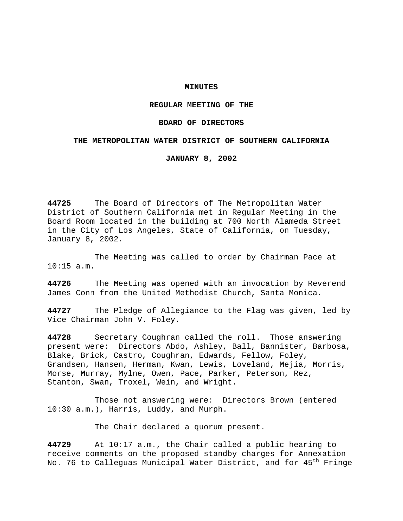# **MINUTES**

# **REGULAR MEETING OF THE**

### **BOARD OF DIRECTORS**

### **THE METROPOLITAN WATER DISTRICT OF SOUTHERN CALIFORNIA**

**JANUARY 8, 2002**

**44725** The Board of Directors of The Metropolitan Water District of Southern California met in Regular Meeting in the Board Room located in the building at 700 North Alameda Street in the City of Los Angeles, State of California, on Tuesday, January 8, 2002.

The Meeting was called to order by Chairman Pace at 10:15 a.m.

**44726** The Meeting was opened with an invocation by Reverend James Conn from the United Methodist Church, Santa Monica.

**44727** The Pledge of Allegiance to the Flag was given, led by Vice Chairman John V. Foley.

**44728** Secretary Coughran called the roll. Those answering present were: Directors Abdo, Ashley, Ball, Bannister, Barbosa, Blake, Brick, Castro, Coughran, Edwards, Fellow, Foley, Grandsen, Hansen, Herman, Kwan, Lewis, Loveland, Mejia, Morris, Morse, Murray, Mylne, Owen, Pace, Parker, Peterson, Rez, Stanton, Swan, Troxel, Wein, and Wright.

Those not answering were: Directors Brown (entered 10:30 a.m.), Harris, Luddy, and Murph.

The Chair declared a quorum present.

**44729** At 10:17 a.m., the Chair called a public hearing to receive comments on the proposed standby charges for Annexation No. 76 to Calleguas Municipal Water District, and for 45<sup>th</sup> Fringe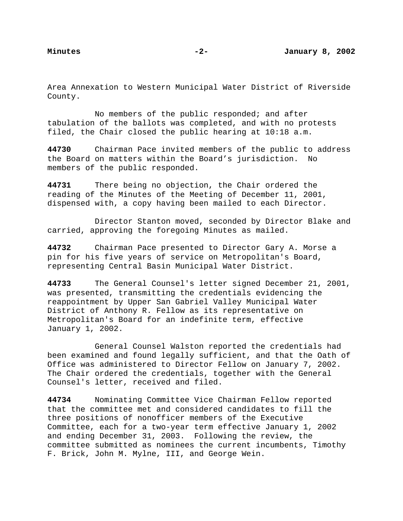Area Annexation to Western Municipal Water District of Riverside County.

No members of the public responded; and after tabulation of the ballots was completed, and with no protests filed, the Chair closed the public hearing at 10:18 a.m.

**44730** Chairman Pace invited members of the public to address the Board on matters within the Board's jurisdiction. No members of the public responded.

**44731** There being no objection, the Chair ordered the reading of the Minutes of the Meeting of December 11, 2001, dispensed with, a copy having been mailed to each Director.

Director Stanton moved, seconded by Director Blake and carried, approving the foregoing Minutes as mailed.

**44732** Chairman Pace presented to Director Gary A. Morse a pin for his five years of service on Metropolitan's Board, representing Central Basin Municipal Water District.

**44733** The General Counsel's letter signed December 21, 2001, was presented, transmitting the credentials evidencing the reappointment by Upper San Gabriel Valley Municipal Water District of Anthony R. Fellow as its representative on Metropolitan's Board for an indefinite term, effective January 1, 2002.

General Counsel Walston reported the credentials had been examined and found legally sufficient, and that the Oath of Office was administered to Director Fellow on January 7, 2002. The Chair ordered the credentials, together with the General Counsel's letter, received and filed.

**44734** Nominating Committee Vice Chairman Fellow reported that the committee met and considered candidates to fill the three positions of nonofficer members of the Executive Committee, each for a two-year term effective January 1, 2002 and ending December 31, 2003. Following the review, the committee submitted as nominees the current incumbents, Timothy F. Brick, John M. Mylne, III, and George Wein.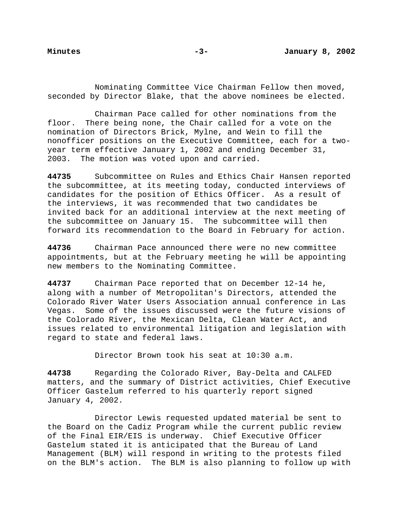Nominating Committee Vice Chairman Fellow then moved, seconded by Director Blake, that the above nominees be elected.

Chairman Pace called for other nominations from the floor. There being none, the Chair called for a vote on the nomination of Directors Brick, Mylne, and Wein to fill the nonofficer positions on the Executive Committee, each for a twoyear term effective January 1, 2002 and ending December 31, 2003. The motion was voted upon and carried.

**44735** Subcommittee on Rules and Ethics Chair Hansen reported the subcommittee, at its meeting today, conducted interviews of candidates for the position of Ethics Officer. As a result of the interviews, it was recommended that two candidates be invited back for an additional interview at the next meeting of the subcommittee on January 15. The subcommittee will then forward its recommendation to the Board in February for action.

**44736** Chairman Pace announced there were no new committee appointments, but at the February meeting he will be appointing new members to the Nominating Committee.

**44737** Chairman Pace reported that on December 12-14 he, along with a number of Metropolitan's Directors, attended the Colorado River Water Users Association annual conference in Las Vegas. Some of the issues discussed were the future visions of the Colorado River, the Mexican Delta, Clean Water Act, and issues related to environmental litigation and legislation with regard to state and federal laws.

Director Brown took his seat at 10:30 a.m.

**44738** Regarding the Colorado River, Bay-Delta and CALFED matters, and the summary of District activities, Chief Executive Officer Gastelum referred to his quarterly report signed January 4, 2002.

Director Lewis requested updated material be sent to the Board on the Cadiz Program while the current public review of the Final EIR/EIS is underway. Chief Executive Officer Gastelum stated it is anticipated that the Bureau of Land Management (BLM) will respond in writing to the protests filed on the BLM's action. The BLM is also planning to follow up with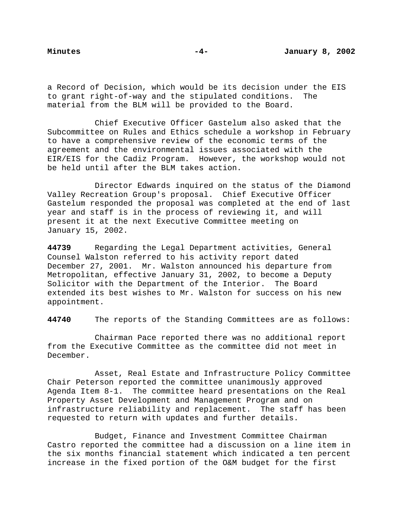a Record of Decision, which would be its decision under the EIS to grant right-of-way and the stipulated conditions. The material from the BLM will be provided to the Board.

Chief Executive Officer Gastelum also asked that the Subcommittee on Rules and Ethics schedule a workshop in February to have a comprehensive review of the economic terms of the agreement and the environmental issues associated with the EIR/EIS for the Cadiz Program. However, the workshop would not be held until after the BLM takes action.

Director Edwards inquired on the status of the Diamond Valley Recreation Group's proposal. Chief Executive Officer Gastelum responded the proposal was completed at the end of last year and staff is in the process of reviewing it, and will present it at the next Executive Committee meeting on January 15, 2002.

**44739** Regarding the Legal Department activities, General Counsel Walston referred to his activity report dated December 27, 2001. Mr. Walston announced his departure from Metropolitan, effective January 31, 2002, to become a Deputy Solicitor with the Department of the Interior. The Board extended its best wishes to Mr. Walston for success on his new appointment.

**44740** The reports of the Standing Committees are as follows:

Chairman Pace reported there was no additional report from the Executive Committee as the committee did not meet in December.

Asset, Real Estate and Infrastructure Policy Committee Chair Peterson reported the committee unanimously approved Agenda Item 8-1. The committee heard presentations on the Real Property Asset Development and Management Program and on infrastructure reliability and replacement. The staff has been requested to return with updates and further details.

Budget, Finance and Investment Committee Chairman Castro reported the committee had a discussion on a line item in the six months financial statement which indicated a ten percent increase in the fixed portion of the O&M budget for the first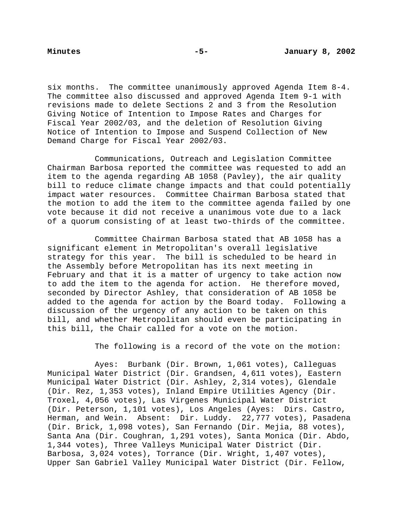six months. The committee unanimously approved Agenda Item 8-4. The committee also discussed and approved Agenda Item 9-1 with revisions made to delete Sections 2 and 3 from the Resolution Giving Notice of Intention to Impose Rates and Charges for Fiscal Year 2002/03, and the deletion of Resolution Giving Notice of Intention to Impose and Suspend Collection of New Demand Charge for Fiscal Year 2002/03.

Communications, Outreach and Legislation Committee Chairman Barbosa reported the committee was requested to add an item to the agenda regarding AB 1058 (Pavley), the air quality bill to reduce climate change impacts and that could potentially impact water resources. Committee Chairman Barbosa stated that the motion to add the item to the committee agenda failed by one vote because it did not receive a unanimous vote due to a lack of a quorum consisting of at least two-thirds of the committee.

Committee Chairman Barbosa stated that AB 1058 has a significant element in Metropolitan's overall legislative strategy for this year. The bill is scheduled to be heard in the Assembly before Metropolitan has its next meeting in February and that it is a matter of urgency to take action now to add the item to the agenda for action. He therefore moved, seconded by Director Ashley, that consideration of AB 1058 be added to the agenda for action by the Board today. Following a discussion of the urgency of any action to be taken on this bill, and whether Metropolitan should even be participating in this bill, the Chair called for a vote on the motion.

The following is a record of the vote on the motion:

Ayes: Burbank (Dir. Brown, 1,061 votes), Calleguas Municipal Water District (Dir. Grandsen, 4,611 votes), Eastern Municipal Water District (Dir. Ashley, 2,314 votes), Glendale (Dir. Rez, 1,353 votes), Inland Empire Utilities Agency (Dir. Troxel, 4,056 votes), Las Virgenes Municipal Water District (Dir. Peterson, 1,101 votes), Los Angeles (Ayes: Dirs. Castro, Herman, and Wein. Absent: Dir. Luddy. 22,777 votes), Pasadena (Dir. Brick, 1,098 votes), San Fernando (Dir. Mejia, 88 votes), Santa Ana (Dir. Coughran, 1,291 votes), Santa Monica (Dir. Abdo, 1,344 votes), Three Valleys Municipal Water District (Dir. Barbosa, 3,024 votes), Torrance (Dir. Wright, 1,407 votes), Upper San Gabriel Valley Municipal Water District (Dir. Fellow,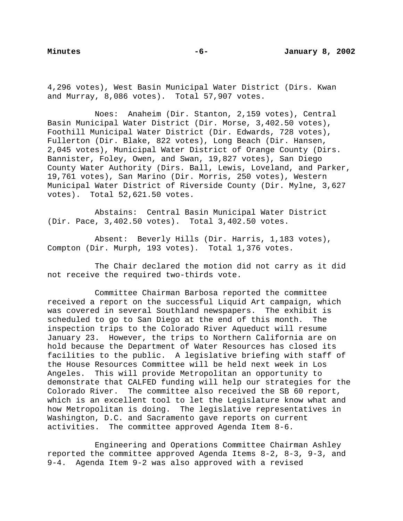4,296 votes), West Basin Municipal Water District (Dirs. Kwan and Murray, 8,086 votes). Total 57,907 votes.

Noes: Anaheim (Dir. Stanton, 2,159 votes), Central Basin Municipal Water District (Dir. Morse, 3,402.50 votes), Foothill Municipal Water District (Dir. Edwards, 728 votes), Fullerton (Dir. Blake, 822 votes), Long Beach (Dir. Hansen, 2,045 votes), Municipal Water District of Orange County (Dirs. Bannister, Foley, Owen, and Swan, 19,827 votes), San Diego County Water Authority (Dirs. Ball, Lewis, Loveland, and Parker, 19,761 votes), San Marino (Dir. Morris, 250 votes), Western Municipal Water District of Riverside County (Dir. Mylne, 3,627 votes). Total 52,621.50 votes.

Abstains: Central Basin Municipal Water District (Dir. Pace, 3,402.50 votes). Total 3,402.50 votes.

Absent: Beverly Hills (Dir. Harris, 1,183 votes), Compton (Dir. Murph, 193 votes). Total 1,376 votes.

The Chair declared the motion did not carry as it did not receive the required two-thirds vote.

Committee Chairman Barbosa reported the committee received a report on the successful Liquid Art campaign, which was covered in several Southland newspapers. The exhibit is scheduled to go to San Diego at the end of this month. The inspection trips to the Colorado River Aqueduct will resume January 23. However, the trips to Northern California are on hold because the Department of Water Resources has closed its facilities to the public. A legislative briefing with staff of the House Resources Committee will be held next week in Los Angeles. This will provide Metropolitan an opportunity to demonstrate that CALFED funding will help our strategies for the Colorado River. The committee also received the SB 60 report, which is an excellent tool to let the Legislature know what and how Metropolitan is doing. The legislative representatives in Washington, D.C. and Sacramento gave reports on current activities. The committee approved Agenda Item 8-6.

Engineering and Operations Committee Chairman Ashley reported the committee approved Agenda Items 8-2, 8-3, 9-3, and 9-4. Agenda Item 9-2 was also approved with a revised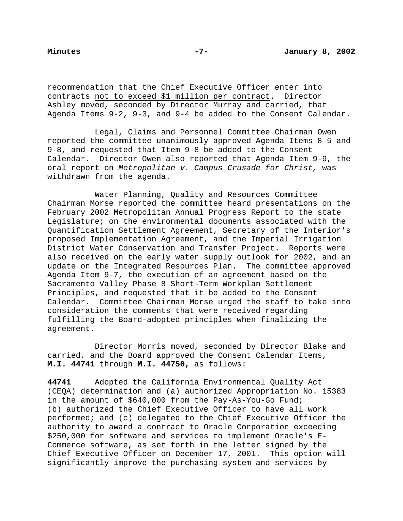recommendation that the Chief Executive Officer enter into contracts not to exceed \$1 million per contract. Director Ashley moved, seconded by Director Murray and carried, that Agenda Items 9-2, 9-3, and 9-4 be added to the Consent Calendar.

Legal, Claims and Personnel Committee Chairman Owen reported the committee unanimously approved Agenda Items 8-5 and 9-8, and requested that Item 9-8 be added to the Consent Calendar. Director Owen also reported that Agenda Item 9-9, the oral report on Metropolitan v. Campus Crusade for Christ, was withdrawn from the agenda.

Water Planning, Quality and Resources Committee Chairman Morse reported the committee heard presentations on the February 2002 Metropolitan Annual Progress Report to the state Legislature; on the environmental documents associated with the Quantification Settlement Agreement, Secretary of the Interior's proposed Implementation Agreement, and the Imperial Irrigation District Water Conservation and Transfer Project. Reports were also received on the early water supply outlook for 2002, and an update on the Integrated Resources Plan. The committee approved Agenda Item 9-7, the execution of an agreement based on the Sacramento Valley Phase 8 Short-Term Workplan Settlement Principles, and requested that it be added to the Consent Calendar. Committee Chairman Morse urged the staff to take into consideration the comments that were received regarding fulfilling the Board-adopted principles when finalizing the agreement.

Director Morris moved, seconded by Director Blake and carried, and the Board approved the Consent Calendar Items, **M.I. 44741** through **M.I. 44750,** as follows:

**44741** Adopted the California Environmental Quality Act (CEQA) determination and (a) authorized Appropriation No. 15383 in the amount of \$640,000 from the Pay-As-You-Go Fund; (b) authorized the Chief Executive Officer to have all work performed; and (c) delegated to the Chief Executive Officer the authority to award a contract to Oracle Corporation exceeding \$250,000 for software and services to implement Oracle's E-Commerce software, as set forth in the letter signed by the Chief Executive Officer on December 17, 2001. This option will significantly improve the purchasing system and services by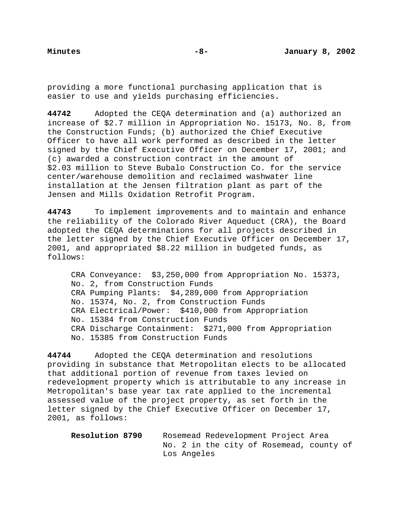providing a more functional purchasing application that is easier to use and yields purchasing efficiencies.

**44742** Adopted the CEQA determination and (a) authorized an increase of \$2.7 million in Appropriation No. 15173, No. 8, from the Construction Funds; (b) authorized the Chief Executive Officer to have all work performed as described in the letter signed by the Chief Executive Officer on December 17, 2001; and (c) awarded a construction contract in the amount of \$2.03 million to Steve Bubalo Construction Co. for the service center/warehouse demolition and reclaimed washwater line installation at the Jensen filtration plant as part of the Jensen and Mills Oxidation Retrofit Program.

**44743** To implement improvements and to maintain and enhance the reliability of the Colorado River Aqueduct (CRA), the Board adopted the CEQA determinations for all projects described in the letter signed by the Chief Executive Officer on December 17, 2001, and appropriated \$8.22 million in budgeted funds, as follows:

CRA Conveyance: \$3,250,000 from Appropriation No. 15373, No. 2, from Construction Funds CRA Pumping Plants: \$4,289,000 from Appropriation No. 15374, No. 2, from Construction Funds CRA Electrical/Power: \$410,000 from Appropriation No. 15384 from Construction Funds CRA Discharge Containment: \$271,000 from Appropriation No. 15385 from Construction Funds

**44744** Adopted the CEQA determination and resolutions providing in substance that Metropolitan elects to be allocated that additional portion of revenue from taxes levied on redevelopment property which is attributable to any increase in Metropolitan's base year tax rate applied to the incremental assessed value of the project property, as set forth in the letter signed by the Chief Executive Officer on December 17, 2001, as follows:

**Resolution 8790** Rosemead Redevelopment Project Area No. 2 in the city of Rosemead, county of Los Angeles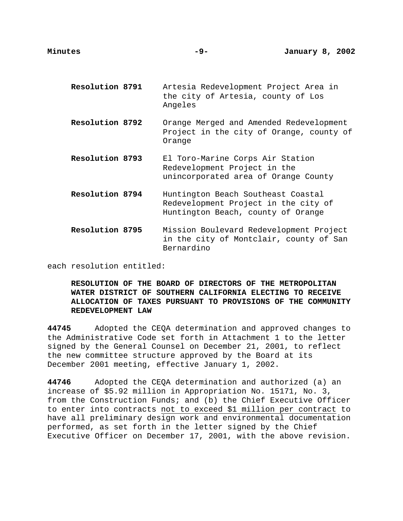- **Resolution 8791** Artesia Redevelopment Project Area in the city of Artesia, county of Los Angeles
- **Resolution 8792** Orange Merged and Amended Redevelopment Project in the city of Orange, county of Orange
- **Resolution 8793** El Toro-Marine Corps Air Station Redevelopment Project in the unincorporated area of Orange County
- **Resolution 8794** Huntington Beach Southeast Coastal Redevelopment Project in the city of Huntington Beach, county of Orange
- **Resolution 8795** Mission Boulevard Redevelopment Project in the city of Montclair, county of San Bernardino

each resolution entitled:

**RESOLUTION OF THE BOARD OF DIRECTORS OF THE METROPOLITAN WATER DISTRICT OF SOUTHERN CALIFORNIA ELECTING TO RECEIVE ALLOCATION OF TAXES PURSUANT TO PROVISIONS OF THE COMMUNITY REDEVELOPMENT LAW**

**44745** Adopted the CEQA determination and approved changes to the Administrative Code set forth in Attachment 1 to the letter signed by the General Counsel on December 21, 2001, to reflect the new committee structure approved by the Board at its December 2001 meeting, effective January 1, 2002.

**44746** Adopted the CEQA determination and authorized (a) an increase of \$5.92 million in Appropriation No. 15171, No. 3, from the Construction Funds; and (b) the Chief Executive Officer to enter into contracts not to exceed \$1 million per contract to have all preliminary design work and environmental documentation performed, as set forth in the letter signed by the Chief Executive Officer on December 17, 2001, with the above revision.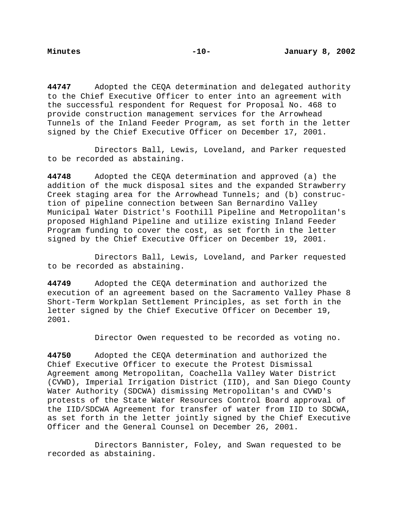**44747** Adopted the CEQA determination and delegated authority to the Chief Executive Officer to enter into an agreement with the successful respondent for Request for Proposal No. 468 to provide construction management services for the Arrowhead Tunnels of the Inland Feeder Program, as set forth in the letter signed by the Chief Executive Officer on December 17, 2001.

Directors Ball, Lewis, Loveland, and Parker requested to be recorded as abstaining.

**44748** Adopted the CEQA determination and approved (a) the addition of the muck disposal sites and the expanded Strawberry Creek staging area for the Arrowhead Tunnels; and (b) construction of pipeline connection between San Bernardino Valley Municipal Water District's Foothill Pipeline and Metropolitan's proposed Highland Pipeline and utilize existing Inland Feeder Program funding to cover the cost, as set forth in the letter signed by the Chief Executive Officer on December 19, 2001.

Directors Ball, Lewis, Loveland, and Parker requested to be recorded as abstaining.

**44749** Adopted the CEQA determination and authorized the execution of an agreement based on the Sacramento Valley Phase 8 Short-Term Workplan Settlement Principles, as set forth in the letter signed by the Chief Executive Officer on December 19, 2001.

Director Owen requested to be recorded as voting no.

**44750** Adopted the CEQA determination and authorized the Chief Executive Officer to execute the Protest Dismissal Agreement among Metropolitan, Coachella Valley Water District (CVWD), Imperial Irrigation District (IID), and San Diego County Water Authority (SDCWA) dismissing Metropolitan's and CVWD's protests of the State Water Resources Control Board approval of the IID/SDCWA Agreement for transfer of water from IID to SDCWA, as set forth in the letter jointly signed by the Chief Executive Officer and the General Counsel on December 26, 2001.

Directors Bannister, Foley, and Swan requested to be recorded as abstaining.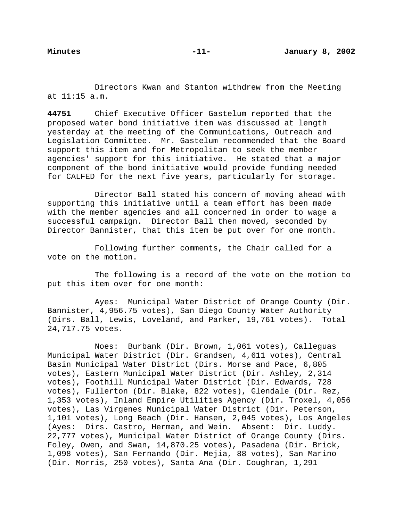Directors Kwan and Stanton withdrew from the Meeting at 11:15 a.m.

**44751** Chief Executive Officer Gastelum reported that the proposed water bond initiative item was discussed at length yesterday at the meeting of the Communications, Outreach and Legislation Committee. Mr. Gastelum recommended that the Board support this item and for Metropolitan to seek the member agencies' support for this initiative. He stated that a major component of the bond initiative would provide funding needed for CALFED for the next five years, particularly for storage.

Director Ball stated his concern of moving ahead with supporting this initiative until a team effort has been made with the member agencies and all concerned in order to wage a successful campaign. Director Ball then moved, seconded by Director Bannister, that this item be put over for one month.

Following further comments, the Chair called for a vote on the motion.

The following is a record of the vote on the motion to put this item over for one month:

Ayes: Municipal Water District of Orange County (Dir. Bannister, 4,956.75 votes), San Diego County Water Authority (Dirs. Ball, Lewis, Loveland, and Parker, 19,761 votes). Total 24,717.75 votes.

Noes: Burbank (Dir. Brown, 1,061 votes), Calleguas Municipal Water District (Dir. Grandsen, 4,611 votes), Central Basin Municipal Water District (Dirs. Morse and Pace, 6,805 votes), Eastern Municipal Water District (Dir. Ashley, 2,314 votes), Foothill Municipal Water District (Dir. Edwards, 728 votes), Fullerton (Dir. Blake, 822 votes), Glendale (Dir. Rez, 1,353 votes), Inland Empire Utilities Agency (Dir. Troxel, 4,056 votes), Las Virgenes Municipal Water District (Dir. Peterson, 1,101 votes), Long Beach (Dir. Hansen, 2,045 votes), Los Angeles (Ayes: Dirs. Castro, Herman, and Wein. Absent: Dir. Luddy. 22,777 votes), Municipal Water District of Orange County (Dirs. Foley, Owen, and Swan, 14,870.25 votes), Pasadena (Dir. Brick, 1,098 votes), San Fernando (Dir. Mejia, 88 votes), San Marino (Dir. Morris, 250 votes), Santa Ana (Dir. Coughran, 1,291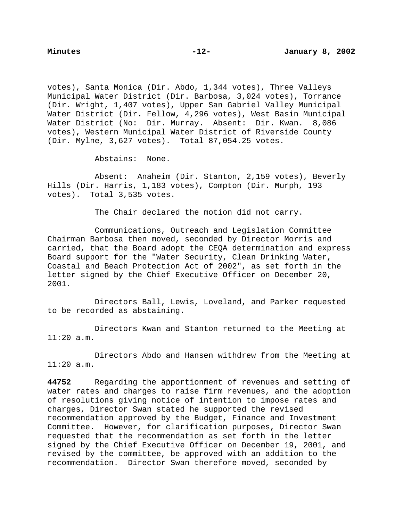votes), Santa Monica (Dir. Abdo, 1,344 votes), Three Valleys Municipal Water District (Dir. Barbosa, 3,024 votes), Torrance (Dir. Wright, 1,407 votes), Upper San Gabriel Valley Municipal Water District (Dir. Fellow, 4,296 votes), West Basin Municipal Water District (No: Dir. Murray. Absent: Dir. Kwan. 8,086 votes), Western Municipal Water District of Riverside County (Dir. Mylne, 3,627 votes). Total 87,054.25 votes.

Abstains: None.

Absent: Anaheim (Dir. Stanton, 2,159 votes), Beverly Hills (Dir. Harris, 1,183 votes), Compton (Dir. Murph, 193 votes). Total 3,535 votes.

The Chair declared the motion did not carry.

Communications, Outreach and Legislation Committee Chairman Barbosa then moved, seconded by Director Morris and carried, that the Board adopt the CEQA determination and express Board support for the "Water Security, Clean Drinking Water, Coastal and Beach Protection Act of 2002", as set forth in the letter signed by the Chief Executive Officer on December 20, 2001.

Directors Ball, Lewis, Loveland, and Parker requested to be recorded as abstaining.

Directors Kwan and Stanton returned to the Meeting at  $11:20$  a.m.

Directors Abdo and Hansen withdrew from the Meeting at 11:20 a.m.

**44752** Regarding the apportionment of revenues and setting of water rates and charges to raise firm revenues, and the adoption of resolutions giving notice of intention to impose rates and charges, Director Swan stated he supported the revised recommendation approved by the Budget, Finance and Investment Committee. However, for clarification purposes, Director Swan requested that the recommendation as set forth in the letter signed by the Chief Executive Officer on December 19, 2001, and revised by the committee, be approved with an addition to the recommendation. Director Swan therefore moved, seconded by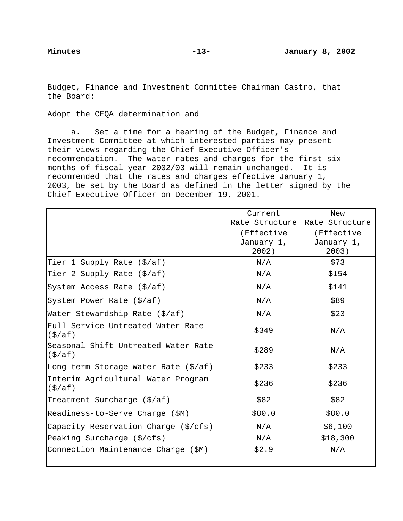Budget, Finance and Investment Committee Chairman Castro, that the Board:

Adopt the CEQA determination and

a. Set a time for a hearing of the Budget, Finance and Investment Committee at which interested parties may present their views regarding the Chief Executive Officer's recommendation. The water rates and charges for the first six months of fiscal year 2002/03 will remain unchanged. It is recommended that the rates and charges effective January 1, 2003, be set by the Board as defined in the letter signed by the Chief Executive Officer on December 19, 2001.

|                                                         | Current        | New            |
|---------------------------------------------------------|----------------|----------------|
|                                                         | Rate Structure | Rate Structure |
|                                                         | (Effective     | (Effective)    |
|                                                         | January 1,     | January 1,     |
|                                                         | 2002)          | 2003)          |
| Tier 1 Supply Rate (\$/af)                              | N/A            | \$73           |
| Tier 2 Supply Rate (\$/af)                              | N/A            | \$154          |
| System Access Rate $(\frac{\xi}{af})$                   | N/A            | \$141          |
| System Power Rate (\$/af)                               | N/A            | \$89           |
| Water Stewardship Rate (\$/af)                          | N/A            | \$23           |
| Full Service Untreated Water Rate<br>$(\frac{\xi}{a}f)$ | \$349          | N/A            |
| Seasonal Shift Untreated Water Rate<br>$(\$/af)$        | \$289          | N/A            |
| Long-term Storage Water Rate (\$/af)                    | \$233          | \$233          |
| Interim Agricultural Water Program<br>$(\$/af)$         | \$236          | \$236          |
| Treatment Surcharge (\$/af)                             | \$82           | \$82           |
| Readiness-to-Serve Charge (\$M)                         | \$80.0         | \$80.0         |
| Capacity Reservation Charge (\$/cfs)                    | N/A            | \$6,100        |
| Peaking Surcharge (\$/cfs)                              | N/A            | \$18,300       |
| Connection Maintenance Charge (\$M)                     | \$2.9          | N/A            |
|                                                         |                |                |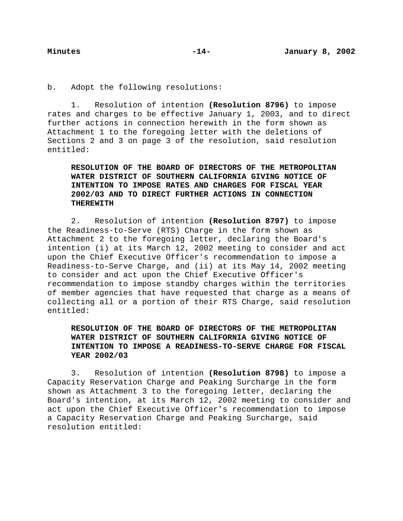b. Adopt the following resolutions:

1. Resolution of intention **(Resolution 8796)** to impose rates and charges to be effective January 1, 2003, and to direct further actions in connection herewith in the form shown as Attachment 1 to the foregoing letter with the deletions of Sections 2 and 3 on page 3 of the resolution, said resolution entitled:

**RESOLUTION OF THE BOARD OF DIRECTORS OF THE METROPOLITAN WATER DISTRICT OF SOUTHERN CALIFORNIA GIVING NOTICE OF INTENTION TO IMPOSE RATES AND CHARGES FOR FISCAL YEAR 2002/03 AND TO DIRECT FURTHER ACTIONS IN CONNECTION THEREWITH**

2. Resolution of intention **(Resolution 8797)** to impose the Readiness-to-Serve (RTS) Charge in the form shown as Attachment 2 to the foregoing letter, declaring the Board's intention (i) at its March 12, 2002 meeting to consider and act upon the Chief Executive Officer's recommendation to impose a Readiness-to-Serve Charge, and (ii) at its May 14, 2002 meeting to consider and act upon the Chief Executive Officer's recommendation to impose standby charges within the territories of member agencies that have requested that charge as a means of collecting all or a portion of their RTS Charge, said resolution entitled:

**RESOLUTION OF THE BOARD OF DIRECTORS OF THE METROPOLITAN WATER DISTRICT OF SOUTHERN CALIFORNIA GIVING NOTICE OF INTENTION TO IMPOSE A READINESS-TO-SERVE CHARGE FOR FISCAL YEAR 2002/03**

3. Resolution of intention **(Resolution 8798)** to impose a Capacity Reservation Charge and Peaking Surcharge in the form shown as Attachment 3 to the foregoing letter, declaring the Board's intention, at its March 12, 2002 meeting to consider and act upon the Chief Executive Officer's recommendation to impose a Capacity Reservation Charge and Peaking Surcharge, said resolution entitled: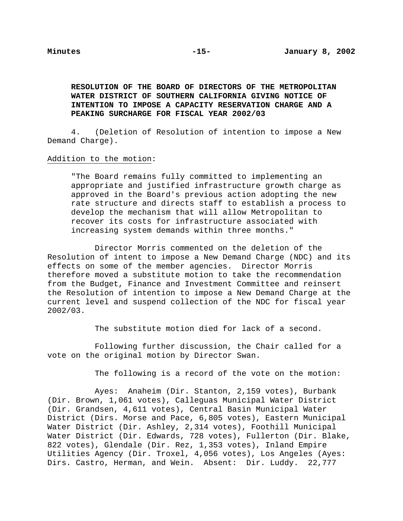# **RESOLUTION OF THE BOARD OF DIRECTORS OF THE METROPOLITAN WATER DISTRICT OF SOUTHERN CALIFORNIA GIVING NOTICE OF INTENTION TO IMPOSE A CAPACITY RESERVATION CHARGE AND A PEAKING SURCHARGE FOR FISCAL YEAR 2002/03**

4. (Deletion of Resolution of intention to impose a New Demand Charge).

# Addition to the motion:

"The Board remains fully committed to implementing an appropriate and justified infrastructure growth charge as approved in the Board's previous action adopting the new rate structure and directs staff to establish a process to develop the mechanism that will allow Metropolitan to recover its costs for infrastructure associated with increasing system demands within three months."

Director Morris commented on the deletion of the Resolution of intent to impose a New Demand Charge (NDC) and its effects on some of the member agencies. Director Morris therefore moved a substitute motion to take the recommendation from the Budget, Finance and Investment Committee and reinsert the Resolution of intention to impose a New Demand Charge at the current level and suspend collection of the NDC for fiscal year 2002/03.

The substitute motion died for lack of a second.

Following further discussion, the Chair called for a vote on the original motion by Director Swan.

The following is a record of the vote on the motion:

Ayes: Anaheim (Dir. Stanton, 2,159 votes), Burbank (Dir. Brown, 1,061 votes), Calleguas Municipal Water District (Dir. Grandsen, 4,611 votes), Central Basin Municipal Water District (Dirs. Morse and Pace, 6,805 votes), Eastern Municipal Water District (Dir. Ashley, 2,314 votes), Foothill Municipal Water District (Dir. Edwards, 728 votes), Fullerton (Dir. Blake, 822 votes), Glendale (Dir. Rez, 1,353 votes), Inland Empire Utilities Agency (Dir. Troxel, 4,056 votes), Los Angeles (Ayes: Dirs. Castro, Herman, and Wein. Absent: Dir. Luddy. 22,777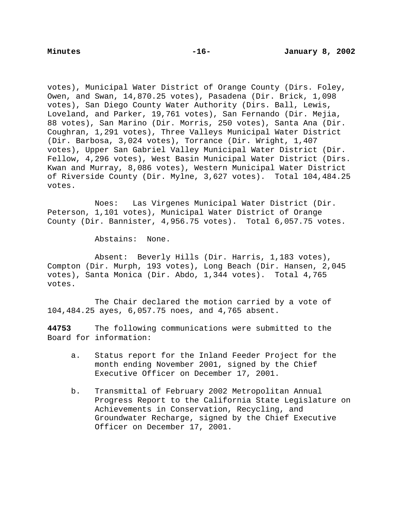votes), Municipal Water District of Orange County (Dirs. Foley, Owen, and Swan, 14,870.25 votes), Pasadena (Dir. Brick, 1,098 votes), San Diego County Water Authority (Dirs. Ball, Lewis, Loveland, and Parker, 19,761 votes), San Fernando (Dir. Mejia, 88 votes), San Marino (Dir. Morris, 250 votes), Santa Ana (Dir. Coughran, 1,291 votes), Three Valleys Municipal Water District (Dir. Barbosa, 3,024 votes), Torrance (Dir. Wright, 1,407 votes), Upper San Gabriel Valley Municipal Water District (Dir. Fellow, 4,296 votes), West Basin Municipal Water District (Dirs. Kwan and Murray, 8,086 votes), Western Municipal Water District of Riverside County (Dir. Mylne, 3,627 votes). Total 104,484.25 votes.

Noes: Las Virgenes Municipal Water District (Dir. Peterson, 1,101 votes), Municipal Water District of Orange County (Dir. Bannister, 4,956.75 votes). Total 6,057.75 votes.

Abstains: None.

Absent: Beverly Hills (Dir. Harris, 1,183 votes), Compton (Dir. Murph, 193 votes), Long Beach (Dir. Hansen, 2,045 votes), Santa Monica (Dir. Abdo, 1,344 votes). Total 4,765 votes.

The Chair declared the motion carried by a vote of 104,484.25 ayes, 6,057.75 noes, and 4,765 absent.

**44753** The following communications were submitted to the Board for information:

- a. Status report for the Inland Feeder Project for the month ending November 2001, signed by the Chief Executive Officer on December 17, 2001.
- b. Transmittal of February 2002 Metropolitan Annual Progress Report to the California State Legislature on Achievements in Conservation, Recycling, and Groundwater Recharge, signed by the Chief Executive Officer on December 17, 2001.